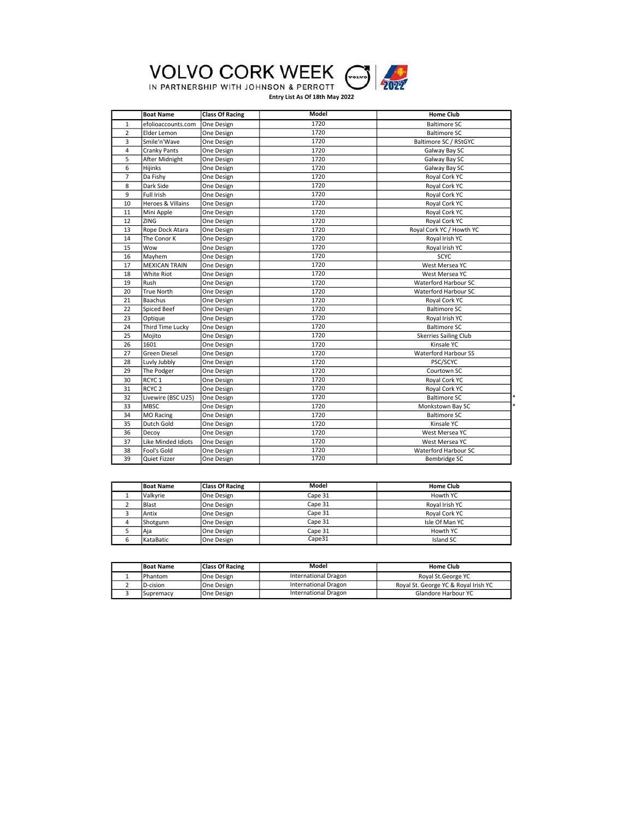

## IN PARTNERSHIP WITH JOHNSON & PERROTT (

|                | <b>Boat Name</b>     | <b>Class Of Racing</b> | Model | <b>Home Club</b>             |
|----------------|----------------------|------------------------|-------|------------------------------|
| $\mathbf{1}$   | efolioaccounts.com   | One Design             | 1720  | <b>Baltimore SC</b>          |
| $\overline{2}$ | Elder Lemon          | One Design             | 1720  | <b>Baltimore SC</b>          |
| 3              | Smile'n'Wave         | One Design             | 1720  | Baltimore SC / RStGYC        |
| 4              | <b>Cranky Pants</b>  | One Design             | 1720  | Galway Bay SC                |
| 5              | After Midnight       | One Design             | 1720  | Galway Bay SC                |
| 6              | Hijinks              | One Design             | 1720  | Galway Bay SC                |
| $\overline{7}$ | Da Fishy             | One Design             | 1720  | Royal Cork YC                |
| 8              | Dark Side            | One Design             | 1720  | Royal Cork YC                |
| 9              | Full Irish           | One Design             | 1720  | Royal Cork YC                |
| 10             | Heroes & Villains    | One Design             | 1720  | Royal Cork YC                |
| 11             | Mini Apple           | One Design             | 1720  | Royal Cork YC                |
| 12             | <b>ZING</b>          | One Design             | 1720  | Royal Cork YC                |
| 13             | Rope Dock Atara      | One Design             | 1720  | Royal Cork YC / Howth YC     |
| 14             | The Conor K          | One Design             | 1720  | Royal Irish YC               |
| 15             | Wow                  | One Design             | 1720  | Royal Irish YC               |
| 16             | Mayhem               | One Design             | 1720  | <b>SCYC</b>                  |
| 17             | <b>MEXICAN TRAIN</b> | One Design             | 1720  | West Mersea YC               |
| 18             | <b>White Riot</b>    | One Design             | 1720  | West Mersea YC               |
| 19             | Rush                 | One Design             | 1720  | Waterford Harbour SC         |
| 20             | <b>True North</b>    | One Design             | 1720  | Waterford Harbour SC         |
| 21             | Baachus              | One Design             | 1720  | Royal Cork YC                |
| 22             | Spiced Beef          | One Design             | 1720  | <b>Baltimore SC</b>          |
| 23             | Optique              | One Design             | 1720  | Royal Irish YC               |
| 24             | Third Time Lucky     | One Design             | 1720  | <b>Baltimore SC</b>          |
| 25             | Mojito               | One Design             | 1720  | <b>Skerries Sailing Club</b> |
| 26             | 1601                 | One Design             | 1720  | Kinsale YC                   |
| 27             | <b>Green Diesel</b>  | One Design             | 1720  | <b>Waterford Harbour SS</b>  |
| 28             | Luvly Jubbly         | One Design             | 1720  | PSC/SCYC                     |
| 29             | The Podger           | One Design             | 1720  | Courtown SC                  |
| 30             | RCYC <sub>1</sub>    | One Design             | 1720  | Royal Cork YC                |
| 31             | RCYC <sub>2</sub>    | One Design             | 1720  | Royal Cork YC                |
| 32             | Livewire (BSC U25)   | One Design             | 1720  | <b>Baltimore SC</b>          |
| 33             | <b>MBSC</b>          | One Design             | 1720  | Monkstown Bay SC             |
| 34             | <b>MO Racing</b>     | One Design             | 1720  | <b>Baltimore SC</b>          |
| 35             | Dutch Gold           | One Design             | 1720  | Kinsale YC                   |
| 36             | Decoy                | One Design             | 1720  | West Mersea YC               |
| 37             | Like Minded Idiots   | One Design             | 1720  | West Mersea YC               |
| 38             | Fool's Gold          | One Design             | 1720  | Waterford Harbour SC         |
| 39             | Quiet Fizzer         | One Design             | 1720  | Bembridge SC                 |

| <b>Boat Name</b> | <b>Class Of Racing</b> | Model   | <b>Home Club</b> |
|------------------|------------------------|---------|------------------|
| <b>Valkvrie</b>  | One Design             | Cape 31 | Howth YC         |
| <b>Blast</b>     | One Design             | Cape 31 | Roval Irish YC   |
| Antix            | One Design             | Cape 31 | Royal Cork YC    |
| Shotgunn         | One Design             | Cape 31 | Isle Of Man YC   |
| Aia              | One Design             | Cape 31 | Howth YC         |
| KataBatic        | One Design             | Cape31  | Island SC        |

| <b>Boat Name</b> | <b>Class Of Racing</b> | <b>Model</b>                | <b>Home Club</b>                     |
|------------------|------------------------|-----------------------------|--------------------------------------|
| <b>IPhantom</b>  | One Design             | <b>International Dragon</b> | Royal St. George YC                  |
| ID-cision        | <b>One Design</b>      | International Dragon        | Royal St. George YC & Royal Irish YC |
| ISupremacv       | One Design             | International Dragon        | Glandore Harbour YC                  |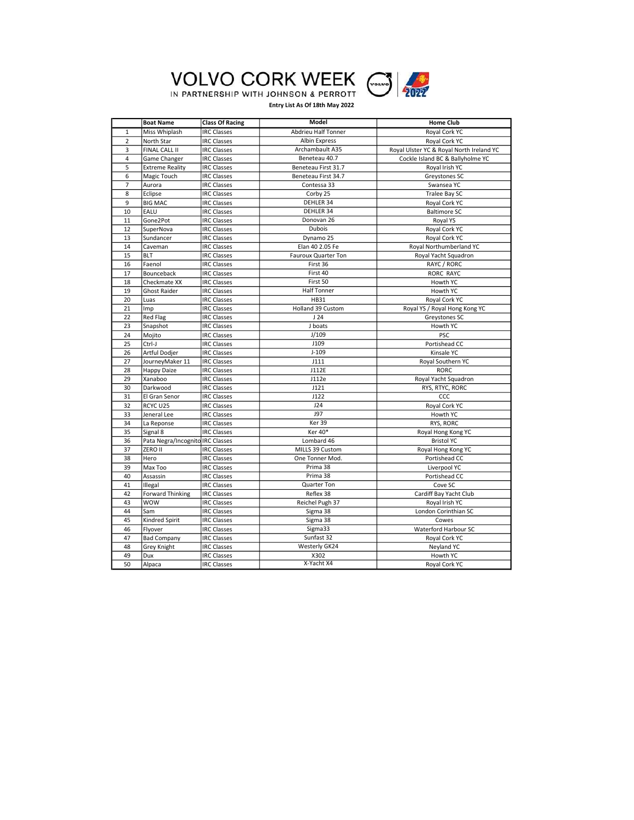



|                | <b>Boat Name</b>                 | <b>Class Of Racing</b> | <b>Model</b>          | <b>Home Club</b>                         |
|----------------|----------------------------------|------------------------|-----------------------|------------------------------------------|
| $\mathbf{1}$   | Miss Whiplash                    | <b>IRC Classes</b>     | Abdrieu Half Tonner   | Royal Cork YC                            |
| $\overline{2}$ | North Star                       | <b>IRC Classes</b>     | <b>Albin Express</b>  | Royal Cork YC                            |
| 3              | FINAL CALL II                    | <b>IRC Classes</b>     | Archambault A35       | Royal Ulster YC & Royal North Ireland YC |
| $\overline{4}$ | Game Changer                     | <b>IRC Classes</b>     | Beneteau 40.7         | Cockle Island BC & Ballyholme YC         |
| 5              | <b>Extreme Reality</b>           | <b>IRC Classes</b>     | Beneteau First 31.7   | Royal Irish YC                           |
| 6              | Magic Touch                      | <b>IRC Classes</b>     | Beneteau First 34.7   | Greystones SC                            |
| $\overline{7}$ | Aurora                           | <b>IRC Classes</b>     | Contessa 33           | Swansea YC                               |
| 8              | Eclipse                          | <b>IRC Classes</b>     | Corby 25              | Tralee Bay SC                            |
| 9              | <b>BIG MAC</b>                   | <b>IRC Classes</b>     | DEHLER 34             | Royal Cork YC                            |
| 10             | EALU                             | <b>IRC Classes</b>     | DEHLER 34             | <b>Baltimore SC</b>                      |
| 11             | Gone2Pot                         | <b>IRC Classes</b>     | Donovan <sub>26</sub> | Royal YS                                 |
| 12             | SuperNova                        | <b>IRC Classes</b>     | Dubois                | Royal Cork YC                            |
| 13             | Sundancer                        | <b>IRC Classes</b>     | Dynamo 25             | Royal Cork YC                            |
| 14             | Caveman                          | <b>IRC Classes</b>     | Elan 40 2.05 Fe       | Royal Northumberland YC                  |
| 15             | <b>BLT</b>                       | <b>IRC Classes</b>     | Fauroux Quarter Ton   | Royal Yacht Squadron                     |
| 16             | Faenol                           | <b>IRC Classes</b>     | First 36              | RAYC / RORC                              |
| 17             | Bounceback                       | <b>IRC Classes</b>     | First 40              | <b>RORC RAYC</b>                         |
| 18             | Checkmate XX                     | <b>IRC Classes</b>     | First 50              | Howth YC                                 |
| 19             | <b>Ghost Raider</b>              | <b>IRC Classes</b>     | <b>Half Tonner</b>    | Howth YC                                 |
| 20             | Luas                             | <b>IRC Classes</b>     | <b>HB31</b>           | Royal Cork YC                            |
| 21             | Imp                              | <b>IRC Classes</b>     | Holland 39 Custom     | Royal YS / Royal Hong Kong YC            |
| 22             | <b>Red Flag</b>                  | <b>IRC Classes</b>     | J24                   | Greystones SC                            |
| 23             | Snapshot                         | <b>IRC Classes</b>     | J boats               | Howth YC                                 |
| 24             | Mojito                           | <b>IRC Classes</b>     | J/109                 | <b>PSC</b>                               |
| 25             | Ctrl-J                           | <b>IRC Classes</b>     | J109                  | Portishead CC                            |
| 26             | Artful Dodjer                    | <b>IRC Classes</b>     | $J-109$               | Kinsale YC                               |
| 27             | JourneyMaker 11                  | <b>IRC Classes</b>     | J111                  | Royal Southern YC                        |
| 28             | <b>Happy Daize</b>               | <b>IRC Classes</b>     | J112E                 | <b>RORC</b>                              |
| 29             | Xanaboo                          | <b>IRC Classes</b>     | J112e                 | Royal Yacht Squadron                     |
| 30             | Darkwood                         | <b>IRC Classes</b>     | J121                  | RYS, RTYC, RORC                          |
| 31             | El Gran Senor                    | <b>IRC Classes</b>     | J122                  | CCC                                      |
| 32             | RCYC U25                         | <b>IRC Classes</b>     | J24                   | Royal Cork YC                            |
| 33             | Jeneral Lee                      | <b>IRC Classes</b>     | <b>J97</b>            | Howth YC                                 |
| 34             | La Reponse                       | <b>IRC Classes</b>     | Ker 39                | RYS, RORC                                |
| 35             | Signal 8                         | <b>IRC Classes</b>     | Ker 40*               | Royal Hong Kong YC                       |
| 36             | Pata Negra/Incognito IRC Classes |                        | Lombard 46            | <b>Bristol YC</b>                        |
| 37             | ZERO II                          | <b>IRC Classes</b>     | MILLS 39 Custom       | Royal Hong Kong YC                       |
| 38             | Hero                             | <b>IRC Classes</b>     | One Tonner Mod.       | Portishead CC                            |
| 39             | Max Too                          | <b>IRC Classes</b>     | Prima 38              | Liverpool YC                             |
| 40             | Assassin                         | <b>IRC Classes</b>     | Prima 38              | Portishead CC                            |
| 41             | Illegal                          | <b>IRC Classes</b>     | Quarter Ton           | Cove SC                                  |
| 42             | <b>Forward Thinking</b>          | <b>IRC Classes</b>     | Reflex 38             | Cardiff Bay Yacht Club                   |
| 43             | <b>WOW</b>                       | <b>IRC Classes</b>     | Reichel Pugh 37       | Royal Irish YC                           |
| 44             | Sam                              | <b>IRC Classes</b>     | Sigma 38              | London Corinthian SC                     |
| 45             | Kindred Spirit                   | <b>IRC Classes</b>     | Sigma 38              | Cowes                                    |
| 46             | Flyover                          | <b>IRC Classes</b>     | Sigma33               | Waterford Harbour SC                     |
| 47             | <b>Bad Company</b>               | <b>IRC Classes</b>     | Sunfast 32            | Royal Cork YC                            |
| 48             | Grey Knight                      | <b>IRC Classes</b>     | Westerly GK24         | Neyland YC                               |
| 49             | Dux                              | <b>IRC Classes</b>     | X302                  | Howth YC                                 |
| 50             | Alpaca                           | <b>IRC Classes</b>     | X-Yacht X4            | Royal Cork YC                            |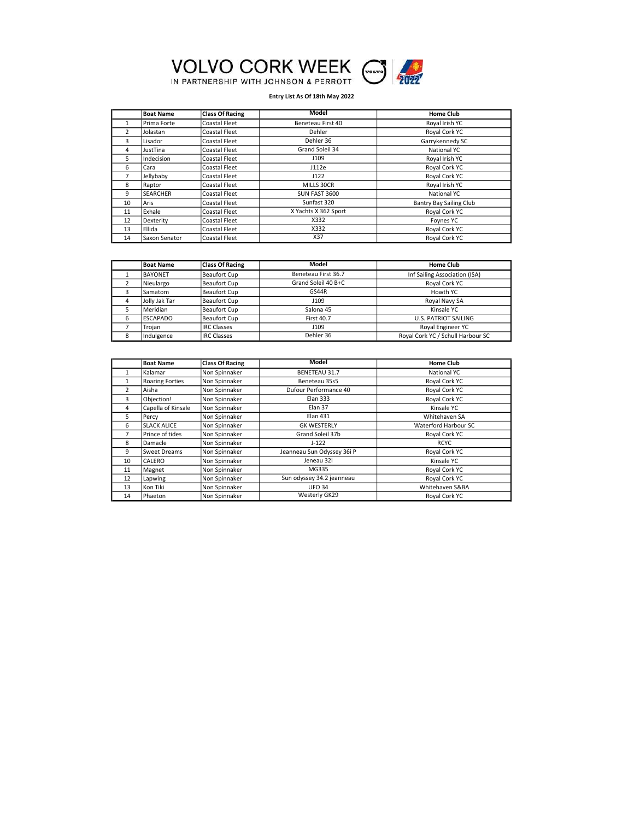

|                 | <b>Boat Name</b> | <b>Class Of Racing</b> | Model                | <b>Home Club</b>               |
|-----------------|------------------|------------------------|----------------------|--------------------------------|
|                 | Prima Forte      | Coastal Fleet          | Beneteau First 40    | Royal Irish YC                 |
| $\overline{2}$  | Jolastan         | <b>Coastal Fleet</b>   | Dehler               | Royal Cork YC                  |
| 3               | Lisador          | <b>Coastal Fleet</b>   | Dehler 36            | Garrykennedy SC                |
| 4               | JustTina         | <b>Coastal Fleet</b>   | Grand Soleil 34      | National YC                    |
| 5.              | Indecision       | Coastal Fleet          | J109                 | Royal Irish YC                 |
| 6               | Cara             | Coastal Fleet          | J112e                | Royal Cork YC                  |
| 7               | Jellybaby        | <b>Coastal Fleet</b>   | J122                 | Royal Cork YC                  |
| 8               | <b>Raptor</b>    | <b>Coastal Fleet</b>   | MILLS 30CR           | Royal Irish YC                 |
| 9               | <b>SEARCHER</b>  | <b>Coastal Fleet</b>   | SUN FAST 3600        | National YC                    |
| 10 <sup>2</sup> | lAris            | Coastal Fleet          | Sunfast 320          | <b>Bantry Bay Sailing Club</b> |
| 11              | Exhale           | Coastal Fleet          | X Yachts X 362 Sport | Royal Cork YC                  |
| 12              | Dexterity        | Coastal Fleet          | X332                 | Foynes YC                      |
| 13              | <b>Ellida</b>    | <b>Coastal Fleet</b>   | X332                 | Royal Cork YC                  |
| 14              | Saxon Senator    | Coastal Fleet          | X37                  | Royal Cork YC                  |

|   | <b>Boat Name</b> | <b>Class Of Racing</b> | Model               | <b>Home Club</b>                  |
|---|------------------|------------------------|---------------------|-----------------------------------|
|   | <b>BAYONET</b>   | Beaufort Cup           | Beneteau First 36.7 | Inf Sailing Association (ISA)     |
|   | Nieulargo        | Beaufort Cup           | Grand Soleil 40 B+C | Royal Cork YC                     |
|   | Samatom          | Beaufort Cup           | GS44R               | Howth YC                          |
|   | IJolly Jak Tar   | Beaufort Cup           | J109                | Royal Navy SA                     |
|   | Meridian         | Beaufort Cup           | Salona 45           | Kinsale YC                        |
|   | <b>ESCAPADO</b>  | Beaufort Cup           | <b>First 40.7</b>   | <b>U.S. PATRIOT SAILING</b>       |
|   | Trojan           | <b>IRC Classes</b>     | J109                | Royal Engineer YC                 |
| 8 | Indulgence       | <b>IRC Classes</b>     | Dehler 36           | Royal Cork YC / Schull Harbour SC |

|                 | <b>Boat Name</b>       | <b>Class Of Racing</b> | <b>Model</b>               | <b>Home Club</b>     |
|-----------------|------------------------|------------------------|----------------------------|----------------------|
|                 | Kalamar                | Non Spinnaker          | <b>BENETEAU 31.7</b>       | National YC          |
| 1               | <b>Roaring Forties</b> | Non Spinnaker          | Beneteau 35s5              | Royal Cork YC        |
| 2               | lAisha                 | Non Spinnaker          | Dufour Performance 40      | Royal Cork YC        |
| 3               | Objection!             | Non Spinnaker          | <b>Elan 333</b>            | Royal Cork YC        |
| 4               | Capella of Kinsale     | Non Spinnaker          | Elan 37                    | Kinsale YC           |
| 5.              | Percy                  | Non Spinnaker          | <b>Elan 431</b>            | Whitehaven SA        |
| 6               | <b>SLACK ALICE</b>     | Non Spinnaker          | <b>GK WESTERLY</b>         | Waterford Harbour SC |
| 7               | Prince of tides        | Non Spinnaker          | Grand Soleil 37b           | Royal Cork YC        |
| 8               | Damacle                | Non Spinnaker          | $J-122$                    | <b>RCYC</b>          |
| 9               | Sweet Dreams           | Non Spinnaker          | Jeanneau Sun Odyssey 36i P | Royal Cork YC        |
| 10 <sup>2</sup> | CALERO                 | Non Spinnaker          | Jeneau 32i                 | Kinsale YC           |
| 11              | Magnet                 | Non Spinnaker          | MG335                      | Royal Cork YC        |
| 12              | Lapwing                | Non Spinnaker          | Sun odyssey 34.2 jeanneau  | Royal Cork YC        |
| 13              | Kon Tiki               | Non Spinnaker          | <b>UFO 34</b>              | Whitehaven S&BA      |
| 14              | Phaeton                | Non Spinnaker          | Westerly GK29              | Royal Cork YC        |